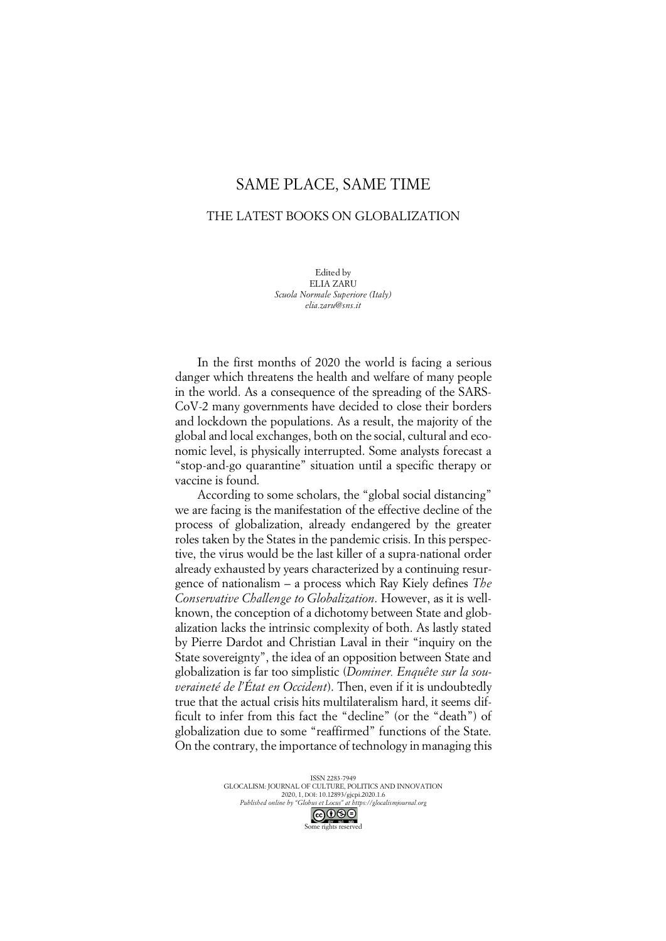## SAME PLACE, SAME TIME

## THE LATEST BOOKS ON GLOBALIZATION

Edited by ELIA ZARU *Scuola Normale Superiore (Italy) elia.zaru@sns.it*

In the first months of 2020 the world is facing a serious danger which threatens the health and welfare of many people in the world. As a consequence of the spreading of the SARS-CoV-2 many governments have decided to close their borders and lockdown the populations. As a result, the majority of the global and local exchanges, both on the social, cultural and economic level, is physically interrupted. Some analysts forecast a "stop-and-go quarantine" situation until a specific therapy or vaccine is found.

According to some scholars, the "global social distancing" we are facing is the manifestation of the effective decline of the process of globalization, already endangered by the greater roles taken by the States in the pandemic crisis. In this perspective, the virus would be the last killer of a supra-national order already exhausted by years characterized by a continuing resurgence of nationalism – a process which Ray Kiely defines *The Conservative Challenge to Globalization*. However, as it is wellknown, the conception of a dichotomy between State and globalization lacks the intrinsic complexity of both. As lastly stated by Pierre Dardot and Christian Laval in their "inquiry on the State sovereignty", the idea of an opposition between State and globalization is far too simplistic (*Dominer. Enquête sur la souveraineté de l'État en Occident*). Then, even if it is undoubtedly true that the actual crisis hits multilateralism hard, it seems difficult to infer from this fact the "decline" (or the "death") of globalization due to some "reaffirmed" functions of the State. On the contrary, the importance of technology in managing this

> ISSN 2283-7949 GLOCALISM: JOURNAL OF CULTURE, POLITICS AND INNOVATION 2020, 1, DOI: 10.12893/gjcpi.2020.1.6 *Published online by "Globus et Locus" at https://glocalismjournal.org*

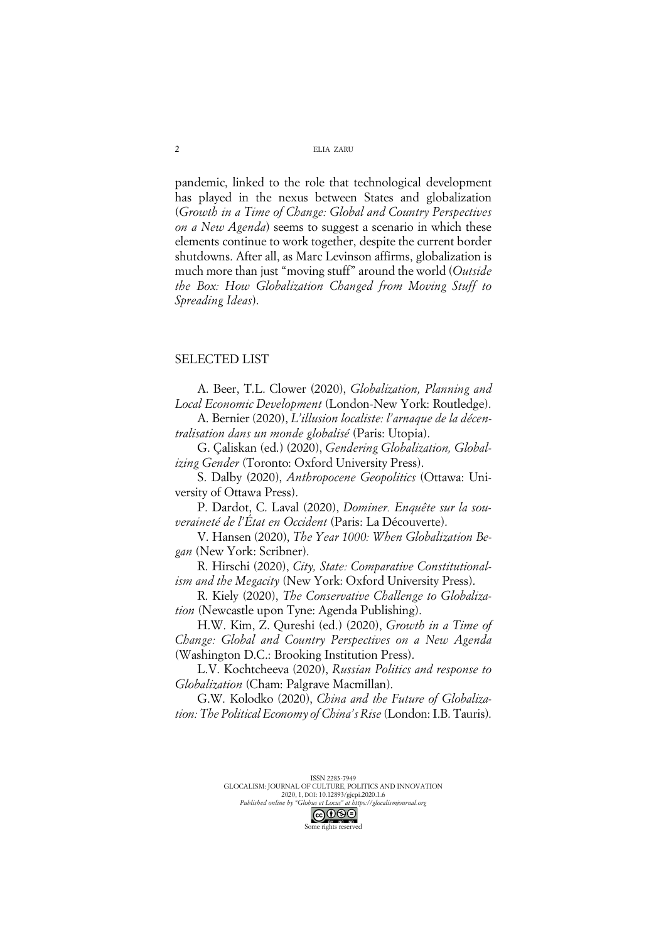## ELIA ZARU

pandemic, linked to the role that technological development has played in the nexus between States and globalization (*Growth in a Time of Change: Global and Country Perspectives on a New Agenda*) seems to suggest a scenario in which these elements continue to work together, despite the current border shutdowns. After all, as Marc Levinson affirms, globalization is much more than just "moving stuff" around the world (*Outside the Box: How Globalization Changed from Moving Stuff to Spreading Ideas*).

## SELECTED LIST

A. Beer, T.L. Clower (2020), *Globalization, Planning and Local Economic Development* (London-New York: Routledge).

A. Bernier (2020), *L'illusion localiste: l'arnaque de la décentralisation dans un monde globalisé* (Paris: Utopia).

G. Çaliskan (ed.) (2020), *Gendering Globalization, Globalizing Gender* (Toronto: Oxford University Press).

S. Dalby (2020), *Anthropocene Geopolitics* (Ottawa: University of Ottawa Press).

P. Dardot, C. Laval (2020), *Dominer. Enquête sur la souveraineté de l'État en Occident* (Paris: La Découverte).

V. Hansen (2020), *The Year 1000: When Globalization Began* (New York: Scribner).

R. Hirschi (2020), *City, State: Comparative Constitutionalism and the Megacity* (New York: Oxford University Press).

R. Kiely (2020), *The Conservative Challenge to Globalization* (Newcastle upon Tyne: Agenda Publishing).

H.W. Kim, Z. Qureshi (ed.) (2020), *Growth in a Time of Change: Global and Country Perspectives on a New Agenda* (Washington D.C.: Brooking Institution Press).

L.V. Kochtcheeva (2020), *Russian Politics and response to Globalization* (Cham: Palgrave Macmillan).

G.W. Kolodko (2020), *China and the Future of Globalization: The Political Economy of China's Rise* (London: I.B. Tauris).

Some rights reserved



2